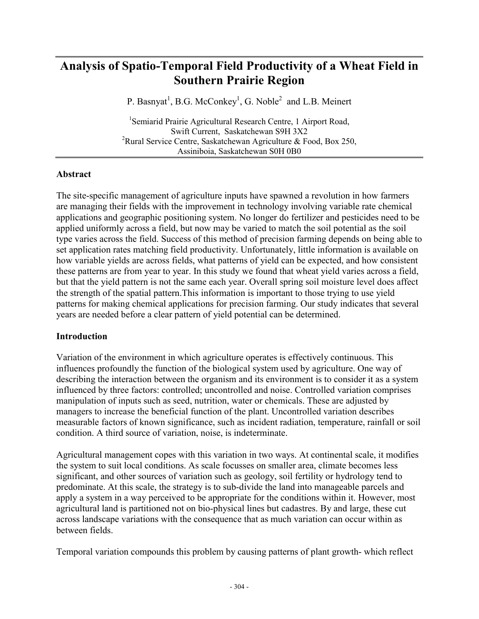# **Analysis of Spatio-Temporal Field Productivity of a Wheat Field in Southern Prairie Region**

P. Basnyat<sup>1</sup>, B.G. McConkey<sup>1</sup>, G. Noble<sup>2</sup> and L.B. Meinert

<sup>1</sup>Semiarid Prairie Agricultural Research Centre, 1 Airport Road, Swift Current, Saskatchewan S9H 3X2 <sup>2</sup>Rural Service Centre, Saskatchewan Agriculture & Food, Box 250, Assiniboia, Saskatchewan S0H 0B0

#### **Abstract**

The site-specific management of agriculture inputs have spawned a revolution in how farmers are managing their fields with the improvement in technology involving variable rate chemical applications and geographic positioning system. No longer do fertilizer and pesticides need to be applied uniformly across a field, but now may be varied to match the soil potential as the soil type varies across the field. Success of this method of precision farming depends on being able to set application rates matching field productivity. Unfortunately, little information is available on how variable yields are across fields, what patterns of yield can be expected, and how consistent these patterns are from year to year. In this study we found that wheat yield varies across a field, but that the yield pattern is not the same each year. Overall spring soil moisture level does affect the strength of the spatial pattern.This information is important to those trying to use yield patterns for making chemical applications for precision farming. Our study indicates that several years are needed before a clear pattern of yield potential can be determined.

## **Introduction**

Variation of the environment in which agriculture operates is effectively continuous. This influences profoundly the function of the biological system used by agriculture. One way of describing the interaction between the organism and its environment is to consider it as a system influenced by three factors: controlled; uncontrolled and noise. Controlled variation comprises manipulation of inputs such as seed, nutrition, water or chemicals. These are adjusted by managers to increase the beneficial function of the plant. Uncontrolled variation describes measurable factors of known significance, such as incident radiation, temperature, rainfall or soil condition. A third source of variation, noise, is indeterminate.

Agricultural management copes with this variation in two ways. At continental scale, it modifies the system to suit local conditions. As scale focusses on smaller area, climate becomes less significant, and other sources of variation such as geology, soil fertility or hydrology tend to predominate. At this scale, the strategy is to sub-divide the land into manageable parcels and apply a system in a way perceived to be appropriate for the conditions within it. However, most agricultural land is partitioned not on bio-physical lines but cadastres. By and large, these cut across landscape variations with the consequence that as much variation can occur within as between fields.

Temporal variation compounds this problem by causing patterns of plant growth- which reflect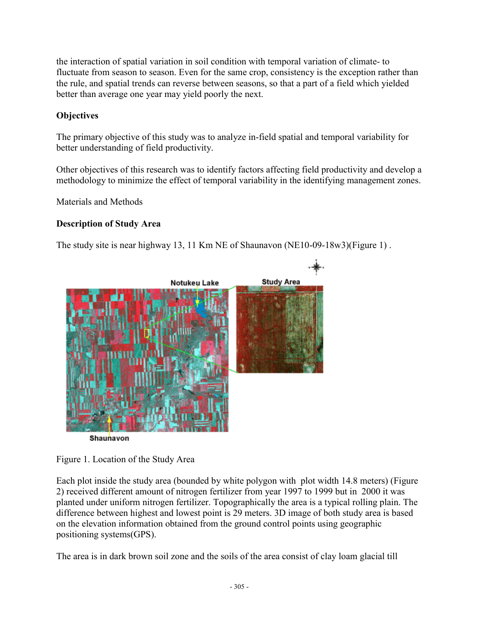the interaction of spatial variation in soil condition with temporal variation of climate- to fluctuate from season to season. Even for the same crop, consistency is the exception rather than the rule, and spatial trends can reverse between seasons, so that a part of a field which yielded better than average one year may yield poorly the next.

## **Objectives**

The primary objective of this study was to analyze in-field spatial and temporal variability for better understanding of field productivity.

Other objectives of this research was to identify factors affecting field productivity and develop a methodology to minimize the effect of temporal variability in the identifying management zones.

Materials and Methods

## **Description of Study Area**

The study site is near highway 13, 11 Km NE of Shaunavon (NE10-09-18w3)(Figure 1) .





Each plot inside the study area (bounded by white polygon with plot width 14.8 meters) (Figure 2) received different amount of nitrogen fertilizer from year 1997 to 1999 but in 2000 it was planted under uniform nitrogen fertilizer. Topographically the area is a typical rolling plain. The difference between highest and lowest point is 29 meters. 3D image of both study area is based on the elevation information obtained from the ground control points using geographic positioning systems(GPS).

The area is in dark brown soil zone and the soils of the area consist of clay loam glacial till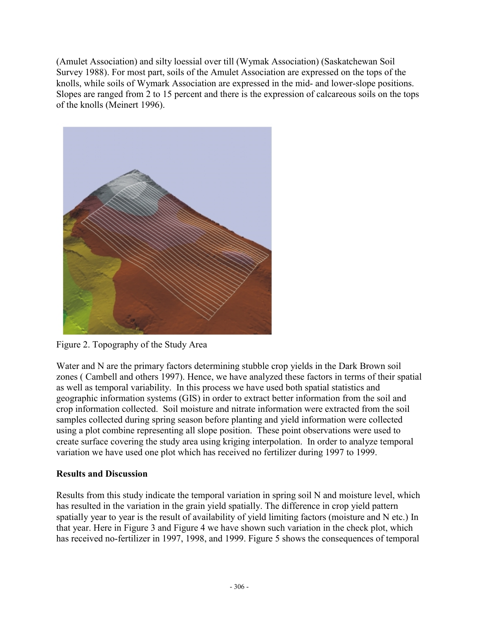(Amulet Association) and silty loessial over till (Wymak Association) (Saskatchewan Soil Survey 1988). For most part, soils of the Amulet Association are expressed on the tops of the knolls, while soils of Wymark Association are expressed in the mid- and lower-slope positions. Slopes are ranged from 2 to 15 percent and there is the expression of calcareous soils on the tops of the knolls (Meinert 1996).



Figure 2. Topography of the Study Area

Water and N are the primary factors determining stubble crop yields in the Dark Brown soil zones ( Cambell and others 1997). Hence, we have analyzed these factors in terms of their spatial as well as temporal variability. In this process we have used both spatial statistics and geographic information systems (GIS) in order to extract better information from the soil and crop information collected. Soil moisture and nitrate information were extracted from the soil samples collected during spring season before planting and yield information were collected using a plot combine representing all slope position. These point observations were used to create surface covering the study area using kriging interpolation. In order to analyze temporal variation we have used one plot which has received no fertilizer during 1997 to 1999.

## **Results and Discussion**

Results from this study indicate the temporal variation in spring soil N and moisture level, which has resulted in the variation in the grain yield spatially. The difference in crop yield pattern spatially year to year is the result of availability of yield limiting factors (moisture and N etc.) In that year. Here in Figure 3 and Figure 4 we have shown such variation in the check plot, which has received no-fertilizer in 1997, 1998, and 1999. Figure 5 shows the consequences of temporal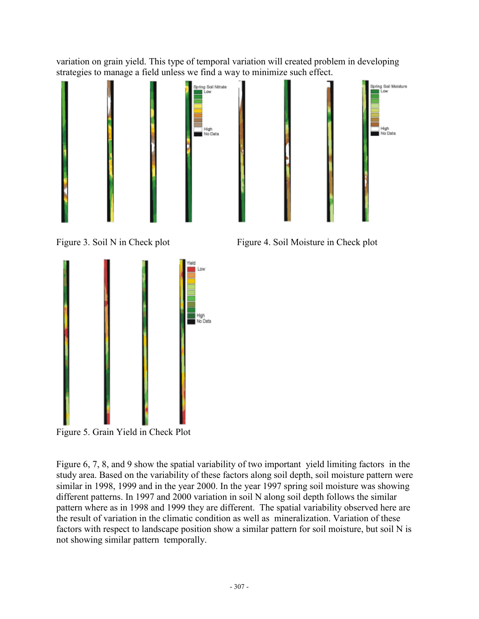variation on grain yield. This type of temporal variation will created problem in developing strategies to manage a field unless we find a way to minimize such effect.







Figure 3. Soil N in Check plot Figure 4. Soil Moisture in Check plot

Figure 5. Grain Yield in Check Plot

Figure 6, 7, 8, and 9 show the spatial variability of two important yield limiting factors in the study area. Based on the variability of these factors along soil depth, soil moisture pattern were similar in 1998, 1999 and in the year 2000. In the year 1997 spring soil moisture was showing different patterns. In 1997 and 2000 variation in soil N along soil depth follows the similar pattern where as in 1998 and 1999 they are different. The spatial variability observed here are the result of variation in the climatic condition as well as mineralization. Variation of these factors with respect to landscape position show a similar pattern for soil moisture, but soil N is not showing similar pattern temporally.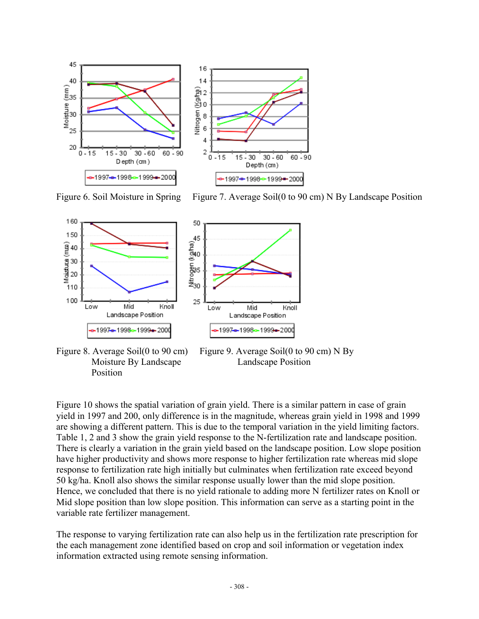

50

Figure 6. Soil Moisture in Spring Figure 7. Average Soil(0 to 90 cm) N By Landscape Position





Position

Figure 8. Average Soil(0 to 90 cm) Figure 9. Average Soil(0 to 90 cm) N By Moisture By Landscape Landscape Position

Figure 10 shows the spatial variation of grain yield. There is a similar pattern in case of grain yield in 1997 and 200, only difference is in the magnitude, whereas grain yield in 1998 and 1999 are showing a different pattern. This is due to the temporal variation in the yield limiting factors. Table 1, 2 and 3 show the grain yield response to the N-fertilization rate and landscape position. There is clearly a variation in the grain yield based on the landscape position. Low slope position have higher productivity and shows more response to higher fertilization rate whereas mid slope response to fertilization rate high initially but culminates when fertilization rate exceed beyond 50 kg/ha. Knoll also shows the similar response usually lower than the mid slope position. Hence, we concluded that there is no yield rationale to adding more N fertilizer rates on Knoll or Mid slope position than low slope position. This information can serve as a starting point in the variable rate fertilizer management.

The response to varying fertilization rate can also help us in the fertilization rate prescription for the each management zone identified based on crop and soil information or vegetation index information extracted using remote sensing information.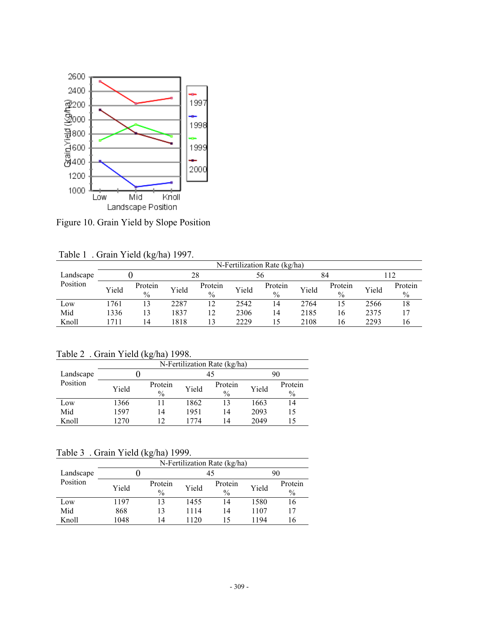

Figure 10. Grain Yield by Slope Position

|                       | N-Fertilization Rate (kg/ha) |                          |       |                          |       |                 |       |                          |       |                 |
|-----------------------|------------------------------|--------------------------|-------|--------------------------|-------|-----------------|-------|--------------------------|-------|-----------------|
| Landscape<br>Position |                              |                          | 28    |                          |       |                 | 84    |                          |       |                 |
|                       | Yield                        | Protein<br>$\frac{0}{0}$ | Yield | Protein<br>$\frac{0}{0}$ | Yield | Protein<br>$\%$ | Yield | Protein<br>$\frac{0}{0}$ | Yield | Protein<br>$\%$ |
| Low                   | 1761                         | 13                       | 2287  | 12                       | 2542  | 14              | 2764  | 15                       | 2566  | 18              |
| Mid                   | 1336                         | 13                       | 1837  | 12                       | 2306  | 14              | 2185  | 16                       | 2375  |                 |
| Knoll                 | 1711                         | 14                       | 1818  | 13                       | 2229  | 15              | 2108  | 16                       | 2293  | 16              |

Table 1 . Grain Yield (kg/ha) 1997.

| Table 2 . Grain Yield (kg/ha) 1998. |  |  |
|-------------------------------------|--|--|
|-------------------------------------|--|--|

|           | N-Fertilization Rate (kg/ha) |                          |       |                          |       |                          |  |  |
|-----------|------------------------------|--------------------------|-------|--------------------------|-------|--------------------------|--|--|
| Landscape |                              |                          |       | 45                       | 90    |                          |  |  |
| Position  | Yield                        | Protein<br>$\frac{0}{0}$ | Yield | Protein<br>$\frac{0}{0}$ | Yield | Protein<br>$\frac{0}{0}$ |  |  |
| Low       | 1366                         |                          | 1862  | 13                       | 1663  | 14                       |  |  |
| Mid       | 1597                         | 14                       | 1951  | 14                       | 2093  | 15                       |  |  |
| Knoll     | 1270                         | 12                       | 1774  | 14                       | 2049  | 15                       |  |  |

Table 3 . Grain Yield (kg/ha) 1999.

|           | N-Fertilization Rate (kg/ha) |                          |       |                          |       |                          |  |
|-----------|------------------------------|--------------------------|-------|--------------------------|-------|--------------------------|--|
| Landscape |                              |                          |       | 45                       | 90    |                          |  |
| Position  | Yield                        | Protein<br>$\frac{0}{0}$ | Yield | Protein<br>$\frac{0}{0}$ | Yield | Protein<br>$\frac{0}{0}$ |  |
| Low       | 1197                         | 13                       | 1455  | 14                       | 1580  | 16                       |  |
| Mid       | 868                          | 13                       | 1114  | 14                       | 1107  | 17                       |  |
| Knoll     | 1048                         | 14                       | 1120  | 15                       | 1194  | 16                       |  |